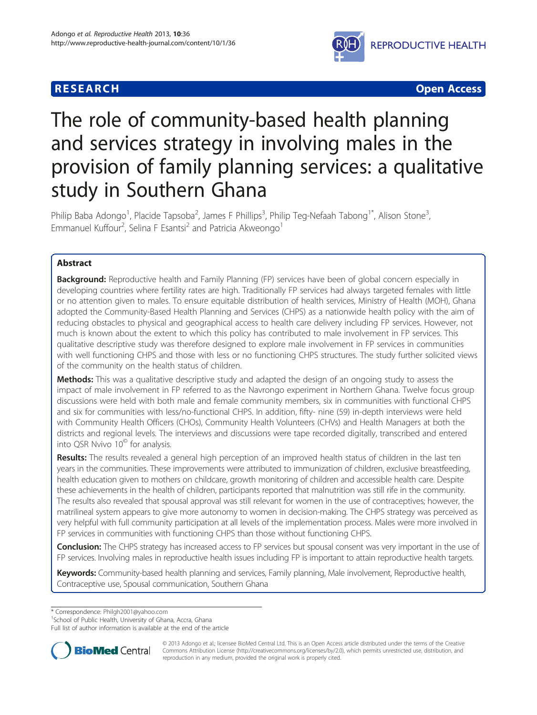## **RESEARCH RESEARCH** *CHECKER CHECKER CONFIDENTIAL CONFIDENTIAL CONFIDENTIAL CONFIDENTIAL CONFIDENTIAL CONFIDENTIAL CONFIDENTIAL CONFIDENTIAL CONFIDENTIAL CONFIDENTIAL CONFIDENTIAL CONFIDENTIAL CONFIDENTIAL CONFIDENTIAL*



# The role of community-based health planning and services strategy in involving males in the provision of family planning services: a qualitative study in Southern Ghana

Philip Baba Adongo<sup>1</sup>, Placide Tapsoba<sup>2</sup>, James F Phillips<sup>3</sup>, Philip Teg-Nefaah Tabong<sup>1\*</sup>, Alison Stone<sup>3</sup> , Emmanuel Kuffour<sup>2</sup>, Selina F Esantsi<sup>2</sup> and Patricia Akweongo<sup>1</sup>

## Abstract

Background: Reproductive health and Family Planning (FP) services have been of global concern especially in developing countries where fertility rates are high. Traditionally FP services had always targeted females with little or no attention given to males. To ensure equitable distribution of health services, Ministry of Health (MOH), Ghana adopted the Community-Based Health Planning and Services (CHPS) as a nationwide health policy with the aim of reducing obstacles to physical and geographical access to health care delivery including FP services. However, not much is known about the extent to which this policy has contributed to male involvement in FP services. This qualitative descriptive study was therefore designed to explore male involvement in FP services in communities with well functioning CHPS and those with less or no functioning CHPS structures. The study further solicited views of the community on the health status of children.

Methods: This was a qualitative descriptive study and adapted the design of an ongoing study to assess the impact of male involvement in FP referred to as the Navrongo experiment in Northern Ghana. Twelve focus group discussions were held with both male and female community members, six in communities with functional CHPS and six for communities with less/no-functional CHPS. In addition, fifty- nine (59) in-depth interviews were held with Community Health Officers (CHOs), Community Health Volunteers (CHVs) and Health Managers at both the districts and regional levels. The interviews and discussions were tape recorded digitally, transcribed and entered into QSR Nvivo 10© for analysis.

Results: The results revealed a general high perception of an improved health status of children in the last ten years in the communities. These improvements were attributed to immunization of children, exclusive breastfeeding, health education given to mothers on childcare, growth monitoring of children and accessible health care. Despite these achievements in the health of children, participants reported that malnutrition was still rife in the community. The results also revealed that spousal approval was still relevant for women in the use of contraceptives; however, the matrilineal system appears to give more autonomy to women in decision-making. The CHPS strategy was perceived as very helpful with full community participation at all levels of the implementation process. Males were more involved in FP services in communities with functioning CHPS than those without functioning CHPS.

Conclusion: The CHPS strategy has increased access to FP services but spousal consent was very important in the use of FP services. Involving males in reproductive health issues including FP is important to attain reproductive health targets.

Keywords: Community-based health planning and services, Family planning, Male involvement, Reproductive health, Contraceptive use, Spousal communication, Southern Ghana

\* Correspondence: [Philgh2001@yahoo.com](mailto:Philgh2001@yahoo.com) <sup>1</sup>

<sup>1</sup>School of Public Health, University of Ghana, Accra, Ghana

Full list of author information is available at the end of the article



© 2013 Adongo et al.; licensee BioMed Central Ltd. This is an Open Access article distributed under the terms of the Creative Commons Attribution License [\(http://creativecommons.org/licenses/by/2.0\)](http://creativecommons.org/licenses/by/2.0), which permits unrestricted use, distribution, and reproduction in any medium, provided the original work is properly cited.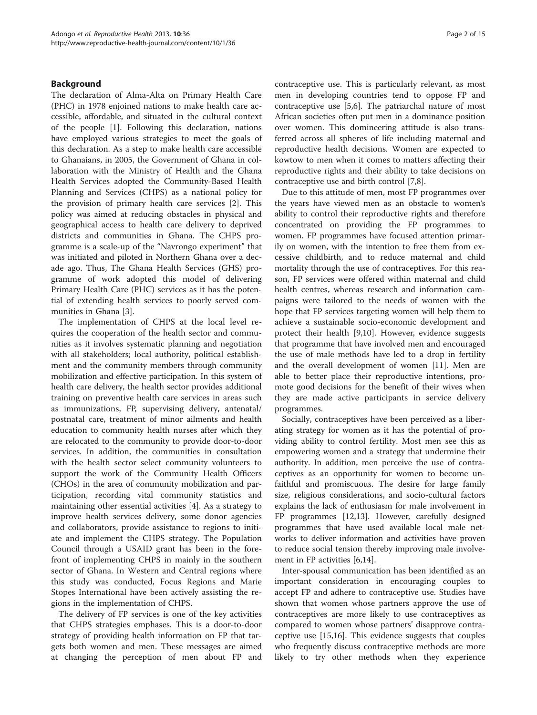#### Background

The declaration of Alma-Alta on Primary Health Care (PHC) in 1978 enjoined nations to make health care accessible, affordable, and situated in the cultural context of the people [[1\]](#page-14-0). Following this declaration, nations have employed various strategies to meet the goals of this declaration. As a step to make health care accessible to Ghanaians, in 2005, the Government of Ghana in collaboration with the Ministry of Health and the Ghana Health Services adopted the Community-Based Health Planning and Services (CHPS) as a national policy for the provision of primary health care services [\[2](#page-14-0)]. This policy was aimed at reducing obstacles in physical and geographical access to health care delivery to deprived districts and communities in Ghana. The CHPS programme is a scale-up of the "Navrongo experiment" that was initiated and piloted in Northern Ghana over a decade ago. Thus, The Ghana Health Services (GHS) programme of work adopted this model of delivering Primary Health Care (PHC) services as it has the potential of extending health services to poorly served communities in Ghana [[3\]](#page-14-0).

The implementation of CHPS at the local level requires the cooperation of the health sector and communities as it involves systematic planning and negotiation with all stakeholders; local authority, political establishment and the community members through community mobilization and effective participation. In this system of health care delivery, the health sector provides additional training on preventive health care services in areas such as immunizations, FP, supervising delivery, antenatal/ postnatal care, treatment of minor ailments and health education to community health nurses after which they are relocated to the community to provide door-to-door services. In addition, the communities in consultation with the health sector select community volunteers to support the work of the Community Health Officers (CHOs) in the area of community mobilization and participation, recording vital community statistics and maintaining other essential activities [[4\]](#page-14-0). As a strategy to improve health services delivery, some donor agencies and collaborators, provide assistance to regions to initiate and implement the CHPS strategy. The Population Council through a USAID grant has been in the forefront of implementing CHPS in mainly in the southern sector of Ghana. In Western and Central regions where this study was conducted, Focus Regions and Marie Stopes International have been actively assisting the regions in the implementation of CHPS.

The delivery of FP services is one of the key activities that CHPS strategies emphases. This is a door-to-door strategy of providing health information on FP that targets both women and men. These messages are aimed at changing the perception of men about FP and contraceptive use. This is particularly relevant, as most men in developing countries tend to oppose FP and contraceptive use [[5,6\]](#page-14-0). The patriarchal nature of most African societies often put men in a dominance position over women. This domineering attitude is also transferred across all spheres of life including maternal and reproductive health decisions. Women are expected to kowtow to men when it comes to matters affecting their reproductive rights and their ability to take decisions on contraceptive use and birth control [\[7,8](#page-14-0)].

Due to this attitude of men, most FP programmes over the years have viewed men as an obstacle to women's ability to control their reproductive rights and therefore concentrated on providing the FP programmes to women. FP programmes have focused attention primarily on women, with the intention to free them from excessive childbirth, and to reduce maternal and child mortality through the use of contraceptives. For this reason, FP services were offered within maternal and child health centres, whereas research and information campaigns were tailored to the needs of women with the hope that FP services targeting women will help them to achieve a sustainable socio-economic development and protect their health [\[9,10](#page-14-0)]. However, evidence suggests that programme that have involved men and encouraged the use of male methods have led to a drop in fertility and the overall development of women [\[11](#page-14-0)]. Men are able to better place their reproductive intentions, promote good decisions for the benefit of their wives when they are made active participants in service delivery programmes.

Socially, contraceptives have been perceived as a liberating strategy for women as it has the potential of providing ability to control fertility. Most men see this as empowering women and a strategy that undermine their authority. In addition, men perceive the use of contraceptives as an opportunity for women to become unfaithful and promiscuous. The desire for large family size, religious considerations, and socio-cultural factors explains the lack of enthusiasm for male involvement in FP programmes [\[12,13\]](#page-14-0). However, carefully designed programmes that have used available local male networks to deliver information and activities have proven to reduce social tension thereby improving male involvement in FP activities [[6,14\]](#page-14-0).

Inter-spousal communication has been identified as an important consideration in encouraging couples to accept FP and adhere to contraceptive use. Studies have shown that women whose partners approve the use of contraceptives are more likely to use contraceptives as compared to women whose partners' disapprove contraceptive use [[15,16\]](#page-14-0). This evidence suggests that couples who frequently discuss contraceptive methods are more likely to try other methods when they experience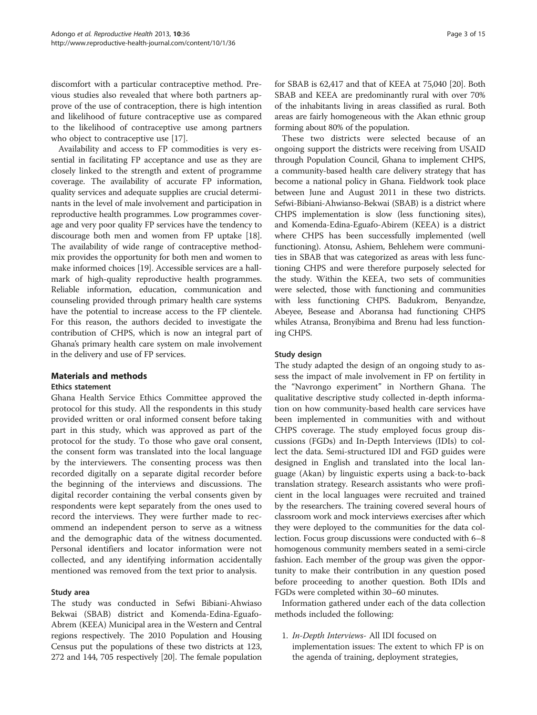discomfort with a particular contraceptive method. Previous studies also revealed that where both partners approve of the use of contraception, there is high intention and likelihood of future contraceptive use as compared to the likelihood of contraceptive use among partners who object to contraceptive use [\[17](#page-14-0)].

Availability and access to FP commodities is very essential in facilitating FP acceptance and use as they are closely linked to the strength and extent of programme coverage. The availability of accurate FP information, quality services and adequate supplies are crucial determinants in the level of male involvement and participation in reproductive health programmes. Low programmes coverage and very poor quality FP services have the tendency to discourage both men and women from FP uptake [[18](#page-14-0)]. The availability of wide range of contraceptive methodmix provides the opportunity for both men and women to make informed choices [\[19](#page-14-0)]. Accessible services are a hallmark of high-quality reproductive health programmes. Reliable information, education, communication and counseling provided through primary health care systems have the potential to increase access to the FP clientele. For this reason, the authors decided to investigate the contribution of CHPS, which is now an integral part of Ghana's primary health care system on male involvement in the delivery and use of FP services.

#### Materials and methods

#### Ethics statement

Ghana Health Service Ethics Committee approved the protocol for this study. All the respondents in this study provided written or oral informed consent before taking part in this study, which was approved as part of the protocol for the study. To those who gave oral consent, the consent form was translated into the local language by the interviewers. The consenting process was then recorded digitally on a separate digital recorder before the beginning of the interviews and discussions. The digital recorder containing the verbal consents given by respondents were kept separately from the ones used to record the interviews. They were further made to recommend an independent person to serve as a witness and the demographic data of the witness documented. Personal identifiers and locator information were not collected, and any identifying information accidentally mentioned was removed from the text prior to analysis.

#### Study area

The study was conducted in Sefwi Bibiani-Ahwiaso Bekwai (SBAB) district and Komenda-Edina-Eguafo-Abrem (KEEA) Municipal area in the Western and Central regions respectively. The 2010 Population and Housing Census put the populations of these two districts at 123, 272 and 144, 705 respectively [\[20](#page-14-0)]. The female population for SBAB is 62,417 and that of KEEA at 75,040 [[20](#page-14-0)]. Both SBAB and KEEA are predominantly rural with over 70% of the inhabitants living in areas classified as rural. Both areas are fairly homogeneous with the Akan ethnic group forming about 80% of the population.

These two districts were selected because of an ongoing support the districts were receiving from USAID through Population Council, Ghana to implement CHPS, a community-based health care delivery strategy that has become a national policy in Ghana. Fieldwork took place between June and August 2011 in these two districts. Sefwi-Bibiani-Ahwianso-Bekwai (SBAB) is a district where CHPS implementation is slow (less functioning sites), and Komenda-Edina-Eguafo-Abirem (KEEA) is a district where CHPS has been successfully implemented (well functioning). Atonsu, Ashiem, Behlehem were communities in SBAB that was categorized as areas with less functioning CHPS and were therefore purposely selected for the study. Within the KEEA, two sets of communities were selected, those with functioning and communities with less functioning CHPS. Badukrom, Benyandze, Abeyee, Besease and Aboransa had functioning CHPS whiles Atransa, Bronyibima and Brenu had less functioning CHPS.

#### Study design

The study adapted the design of an ongoing study to assess the impact of male involvement in FP on fertility in the "Navrongo experiment" in Northern Ghana. The qualitative descriptive study collected in-depth information on how community-based health care services have been implemented in communities with and without CHPS coverage. The study employed focus group discussions (FGDs) and In-Depth Interviews (IDIs) to collect the data. Semi-structured IDI and FGD guides were designed in English and translated into the local language (Akan) by linguistic experts using a back-to-back translation strategy. Research assistants who were proficient in the local languages were recruited and trained by the researchers. The training covered several hours of classroom work and mock interviews exercises after which they were deployed to the communities for the data collection. Focus group discussions were conducted with 6–8 homogenous community members seated in a semi-circle fashion. Each member of the group was given the opportunity to make their contribution in any question posed before proceeding to another question. Both IDIs and FGDs were completed within 30–60 minutes.

Information gathered under each of the data collection methods included the following:

1. In-Depth Interviews- All IDI focused on implementation issues: The extent to which FP is on the agenda of training, deployment strategies,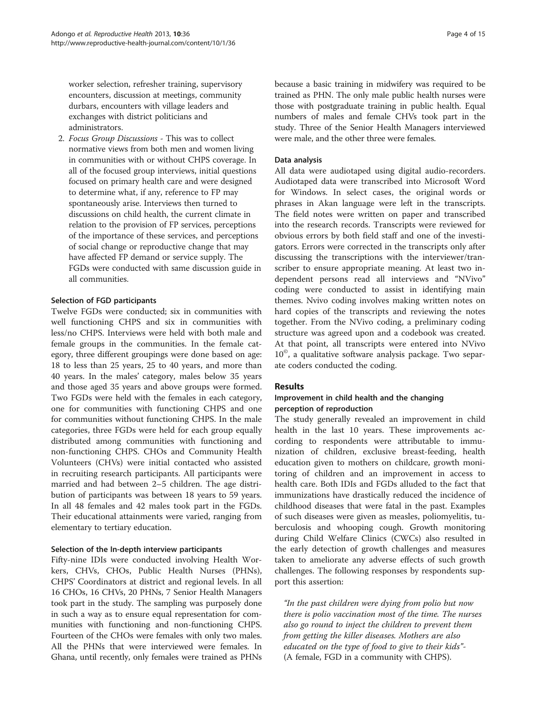worker selection, refresher training, supervisory encounters, discussion at meetings, community durbars, encounters with village leaders and exchanges with district politicians and administrators.

2. Focus Group Discussions - This was to collect normative views from both men and women living in communities with or without CHPS coverage. In all of the focused group interviews, initial questions focused on primary health care and were designed to determine what, if any, reference to FP may spontaneously arise. Interviews then turned to discussions on child health, the current climate in relation to the provision of FP services, perceptions of the importance of these services, and perceptions of social change or reproductive change that may have affected FP demand or service supply. The FGDs were conducted with same discussion guide in all communities.

#### Selection of FGD participants

Twelve FGDs were conducted; six in communities with well functioning CHPS and six in communities with less/no CHPS. Interviews were held with both male and female groups in the communities. In the female category, three different groupings were done based on age: 18 to less than 25 years, 25 to 40 years, and more than 40 years. In the males' category, males below 35 years and those aged 35 years and above groups were formed. Two FGDs were held with the females in each category, one for communities with functioning CHPS and one for communities without functioning CHPS. In the male categories, three FGDs were held for each group equally distributed among communities with functioning and non-functioning CHPS. CHOs and Community Health Volunteers (CHVs) were initial contacted who assisted in recruiting research participants. All participants were married and had between 2–5 children. The age distribution of participants was between 18 years to 59 years. In all 48 females and 42 males took part in the FGDs. Their educational attainments were varied, ranging from elementary to tertiary education.

#### Selection of the In-depth interview participants

Fifty-nine IDIs were conducted involving Health Workers, CHVs, CHOs, Public Health Nurses (PHNs), CHPS' Coordinators at district and regional levels. In all 16 CHOs, 16 CHVs, 20 PHNs, 7 Senior Health Managers took part in the study. The sampling was purposely done in such a way as to ensure equal representation for communities with functioning and non-functioning CHPS. Fourteen of the CHOs were females with only two males. All the PHNs that were interviewed were females. In Ghana, until recently, only females were trained as PHNs because a basic training in midwifery was required to be trained as PHN. The only male public health nurses were those with postgraduate training in public health. Equal numbers of males and female CHVs took part in the study. Three of the Senior Health Managers interviewed were male, and the other three were females.

#### Data analysis

All data were audiotaped using digital audio-recorders. Audiotaped data were transcribed into Microsoft Word for Windows. In select cases, the original words or phrases in Akan language were left in the transcripts. The field notes were written on paper and transcribed into the research records. Transcripts were reviewed for obvious errors by both field staff and one of the investigators. Errors were corrected in the transcripts only after discussing the transcriptions with the interviewer/transcriber to ensure appropriate meaning. At least two independent persons read all interviews and "NVivo" coding were conducted to assist in identifying main themes. Nvivo coding involves making written notes on hard copies of the transcripts and reviewing the notes together. From the NVivo coding, a preliminary coding structure was agreed upon and a codebook was created. At that point, all transcripts were entered into NVivo  $10^{\circ}$ , a qualitative software analysis package. Two separate coders conducted the coding.

#### Results

#### Improvement in child health and the changing perception of reproduction

The study generally revealed an improvement in child health in the last 10 years. These improvements according to respondents were attributable to immunization of children, exclusive breast-feeding, health education given to mothers on childcare, growth monitoring of children and an improvement in access to health care. Both IDIs and FGDs alluded to the fact that immunizations have drastically reduced the incidence of childhood diseases that were fatal in the past. Examples of such diseases were given as measles, poliomyelitis, tuberculosis and whooping cough. Growth monitoring during Child Welfare Clinics (CWCs) also resulted in the early detection of growth challenges and measures taken to ameliorate any adverse effects of such growth challenges. The following responses by respondents support this assertion:

"In the past children were dying from polio but now there is polio vaccination most of the time. The nurses also go round to inject the children to prevent them from getting the killer diseases. Mothers are also educated on the type of food to give to their kids"- (A female, FGD in a community with CHPS).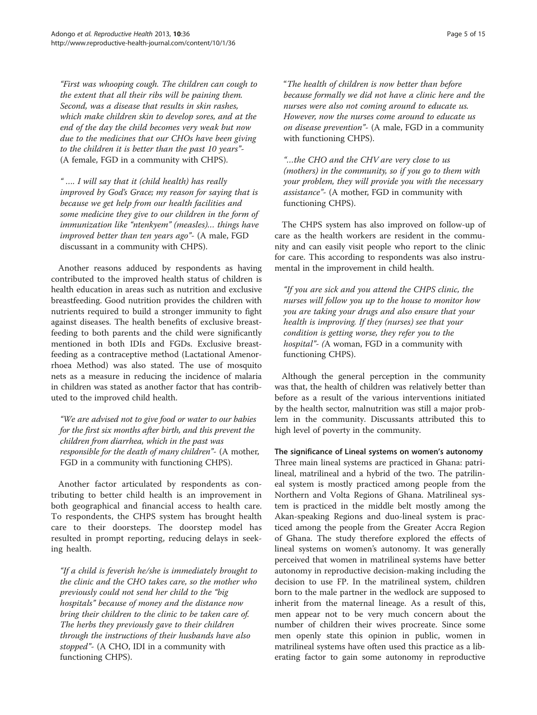"First was whooping cough. The children can cough to the extent that all their ribs will be paining them. Second, was a disease that results in skin rashes, which make children skin to develop sores, and at the end of the day the child becomes very weak but now due to the medicines that our CHOs have been giving to the children it is better than the past 10 years"- (A female, FGD in a community with CHPS).

" …. I will say that it (child health) has really improved by God's Grace; my reason for saying that is because we get help from our health facilities and some medicine they give to our children in the form of immunization like "ntenkyem" (measles)… things have improved better than ten years ago"- (A male, FGD discussant in a community with CHPS).

Another reasons adduced by respondents as having contributed to the improved health status of children is health education in areas such as nutrition and exclusive breastfeeding. Good nutrition provides the children with nutrients required to build a stronger immunity to fight against diseases. The health benefits of exclusive breastfeeding to both parents and the child were significantly mentioned in both IDIs and FGDs. Exclusive breastfeeding as a contraceptive method (Lactational Amenorrhoea Method) was also stated. The use of mosquito nets as a measure in reducing the incidence of malaria in children was stated as another factor that has contributed to the improved child health.

"We are advised not to give food or water to our babies for the first six months after birth, and this prevent the children from diarrhea, which in the past was responsible for the death of many children"- (A mother, FGD in a community with functioning CHPS).

Another factor articulated by respondents as contributing to better child health is an improvement in both geographical and financial access to health care. To respondents, the CHPS system has brought health care to their doorsteps. The doorstep model has resulted in prompt reporting, reducing delays in seeking health.

"If a child is feverish he/she is immediately brought to the clinic and the CHO takes care, so the mother who previously could not send her child to the "big hospitals" because of money and the distance now bring their children to the clinic to be taken care of. The herbs they previously gave to their children through the instructions of their husbands have also stopped" - (A CHO, IDI in a community with functioning CHPS).

"The health of children is now better than before because formally we did not have a clinic here and the nurses were also not coming around to educate us. However, now the nurses come around to educate us on disease prevention"- (A male, FGD in a community with functioning CHPS).

"…the CHO and the CHV are very close to us (mothers) in the community, so if you go to them with your problem, they will provide you with the necessary assistance"- (A mother, FGD in community with functioning CHPS).

The CHPS system has also improved on follow-up of care as the health workers are resident in the community and can easily visit people who report to the clinic for care. This according to respondents was also instrumental in the improvement in child health.

"If you are sick and you attend the CHPS clinic, the nurses will follow you up to the house to monitor how you are taking your drugs and also ensure that your health is improving. If they (nurses) see that your condition is getting worse, they refer you to the hospital"- (A woman, FGD in a community with functioning CHPS).

Although the general perception in the community was that, the health of children was relatively better than before as a result of the various interventions initiated by the health sector, malnutrition was still a major problem in the community. Discussants attributed this to high level of poverty in the community.

The significance of Lineal systems on women's autonomy Three main lineal systems are practiced in Ghana: patrilineal, matrilineal and a hybrid of the two. The patrilineal system is mostly practiced among people from the Northern and Volta Regions of Ghana. Matrilineal system is practiced in the middle belt mostly among the Akan-speaking Regions and duo-lineal system is practiced among the people from the Greater Accra Region of Ghana. The study therefore explored the effects of lineal systems on women's autonomy. It was generally perceived that women in matrilineal systems have better autonomy in reproductive decision-making including the decision to use FP. In the matrilineal system, children born to the male partner in the wedlock are supposed to inherit from the maternal lineage. As a result of this, men appear not to be very much concern about the number of children their wives procreate. Since some men openly state this opinion in public, women in matrilineal systems have often used this practice as a liberating factor to gain some autonomy in reproductive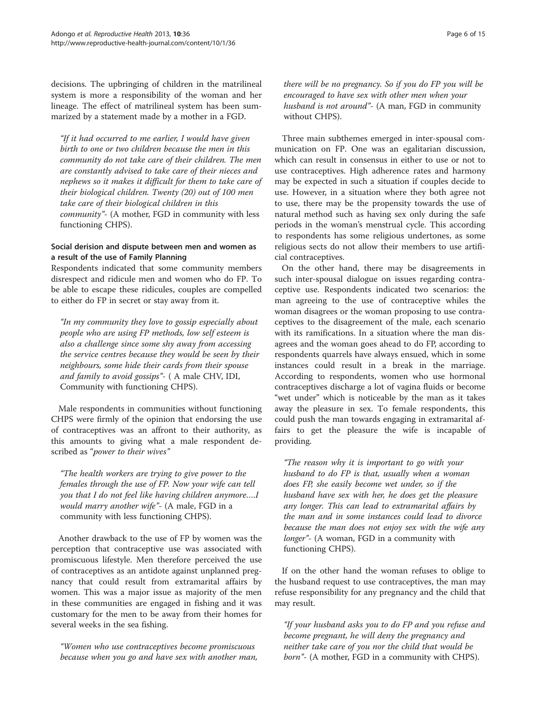decisions. The upbringing of children in the matrilineal system is more a responsibility of the woman and her lineage. The effect of matrilineal system has been summarized by a statement made by a mother in a FGD.

"If it had occurred to me earlier, I would have given birth to one or two children because the men in this community do not take care of their children. The men are constantly advised to take care of their nieces and nephews so it makes it difficult for them to take care of their biological children. Twenty (20) out of 100 men take care of their biological children in this community"- (A mother, FGD in community with less functioning CHPS).

#### Social derision and dispute between men and women as a result of the use of Family Planning

Respondents indicated that some community members disrespect and ridicule men and women who do FP. To be able to escape these ridicules, couples are compelled to either do FP in secret or stay away from it.

"In my community they love to gossip especially about people who are using FP methods, low self esteem is also a challenge since some shy away from accessing the service centres because they would be seen by their neighbours, some hide their cards from their spouse and family to avoid gossips"- ( A male CHV, IDI, Community with functioning CHPS).

Male respondents in communities without functioning CHPS were firmly of the opinion that endorsing the use of contraceptives was an affront to their authority, as this amounts to giving what a male respondent described as "power to their wives"

"The health workers are trying to give power to the females through the use of FP. Now your wife can tell you that I do not feel like having children anymore….I would marry another wife"- (A male, FGD in a community with less functioning CHPS).

Another drawback to the use of FP by women was the perception that contraceptive use was associated with promiscuous lifestyle. Men therefore perceived the use of contraceptives as an antidote against unplanned pregnancy that could result from extramarital affairs by women. This was a major issue as majority of the men in these communities are engaged in fishing and it was customary for the men to be away from their homes for several weeks in the sea fishing.

"Women who use contraceptives become promiscuous because when you go and have sex with another man, there will be no pregnancy. So if you do FP you will be encouraged to have sex with other men when your husband is not around"- (A man, FGD in community without CHPS).

Three main subthemes emerged in inter-spousal communication on FP. One was an egalitarian discussion, which can result in consensus in either to use or not to use contraceptives. High adherence rates and harmony may be expected in such a situation if couples decide to use. However, in a situation where they both agree not to use, there may be the propensity towards the use of natural method such as having sex only during the safe periods in the woman's menstrual cycle. This according to respondents has some religious undertones, as some religious sects do not allow their members to use artificial contraceptives.

On the other hand, there may be disagreements in such inter-spousal dialogue on issues regarding contraceptive use. Respondents indicated two scenarios: the man agreeing to the use of contraceptive whiles the woman disagrees or the woman proposing to use contraceptives to the disagreement of the male, each scenario with its ramifications. In a situation where the man disagrees and the woman goes ahead to do FP, according to respondents quarrels have always ensued, which in some instances could result in a break in the marriage. According to respondents, women who use hormonal contraceptives discharge a lot of vagina fluids or become "wet under" which is noticeable by the man as it takes away the pleasure in sex. To female respondents, this could push the man towards engaging in extramarital affairs to get the pleasure the wife is incapable of providing.

"The reason why it is important to go with your husband to do FP is that, usually when a woman does FP, she easily become wet under, so if the husband have sex with her, he does get the pleasure any longer. This can lead to extramarital affairs by the man and in some instances could lead to divorce because the man does not enjoy sex with the wife any longer"- (A woman, FGD in a community with functioning CHPS).

If on the other hand the woman refuses to oblige to the husband request to use contraceptives, the man may refuse responsibility for any pregnancy and the child that may result.

"If your husband asks you to do FP and you refuse and become pregnant, he will deny the pregnancy and neither take care of you nor the child that would be born"- (A mother, FGD in a community with CHPS).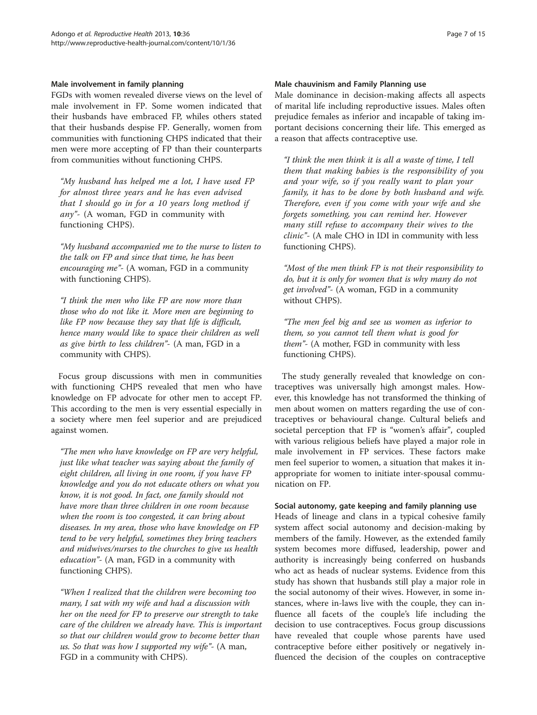#### Male involvement in family planning

FGDs with women revealed diverse views on the level of male involvement in FP. Some women indicated that their husbands have embraced FP, whiles others stated that their husbands despise FP. Generally, women from communities with functioning CHPS indicated that their men were more accepting of FP than their counterparts from communities without functioning CHPS.

"My husband has helped me a lot, I have used FP for almost three years and he has even advised that I should go in for a 10 years long method if any"- (A woman, FGD in community with functioning CHPS).

"My husband accompanied me to the nurse to listen to the talk on FP and since that time, he has been encouraging me"- (A woman, FGD in a community with functioning CHPS).

"I think the men who like FP are now more than those who do not like it. More men are beginning to like FP now because they say that life is difficult, hence many would like to space their children as well as give birth to less children"- (A man, FGD in a community with CHPS).

Focus group discussions with men in communities with functioning CHPS revealed that men who have knowledge on FP advocate for other men to accept FP. This according to the men is very essential especially in a society where men feel superior and are prejudiced against women.

"The men who have knowledge on FP are very helpful, just like what teacher was saying about the family of eight children, all living in one room, if you have FP knowledge and you do not educate others on what you know, it is not good. In fact, one family should not have more than three children in one room because when the room is too congested, it can bring about diseases. In my area, those who have knowledge on FP tend to be very helpful, sometimes they bring teachers and midwives/nurses to the churches to give us health education"- (A man, FGD in a community with functioning CHPS).

"When I realized that the children were becoming too many, I sat with my wife and had a discussion with her on the need for FP to preserve our strength to take care of the children we already have. This is important so that our children would grow to become better than us. So that was how I supported my wife"- (A man, FGD in a community with CHPS).

#### Male chauvinism and Family Planning use

Male dominance in decision-making affects all aspects of marital life including reproductive issues. Males often prejudice females as inferior and incapable of taking important decisions concerning their life. This emerged as a reason that affects contraceptive use.

"I think the men think it is all a waste of time, I tell them that making babies is the responsibility of you and your wife, so if you really want to plan your family, it has to be done by both husband and wife. Therefore, even if you come with your wife and she forgets something, you can remind her. However many still refuse to accompany their wives to the clinic"- (A male CHO in IDI in community with less functioning CHPS).

"Most of the men think FP is not their responsibility to do, but it is only for women that is why many do not get involved"- (A woman, FGD in a community without CHPS).

"The men feel big and see us women as inferior to them, so you cannot tell them what is good for them"- (A mother, FGD in community with less functioning CHPS).

The study generally revealed that knowledge on contraceptives was universally high amongst males. However, this knowledge has not transformed the thinking of men about women on matters regarding the use of contraceptives or behavioural change. Cultural beliefs and societal perception that FP is "women's affair", coupled with various religious beliefs have played a major role in male involvement in FP services. These factors make men feel superior to women, a situation that makes it inappropriate for women to initiate inter-spousal communication on FP.

#### Social autonomy, gate keeping and family planning use

Heads of lineage and clans in a typical cohesive family system affect social autonomy and decision-making by members of the family. However, as the extended family system becomes more diffused, leadership, power and authority is increasingly being conferred on husbands who act as heads of nuclear systems. Evidence from this study has shown that husbands still play a major role in the social autonomy of their wives. However, in some instances, where in-laws live with the couple, they can influence all facets of the couple's life including the decision to use contraceptives. Focus group discussions have revealed that couple whose parents have used contraceptive before either positively or negatively influenced the decision of the couples on contraceptive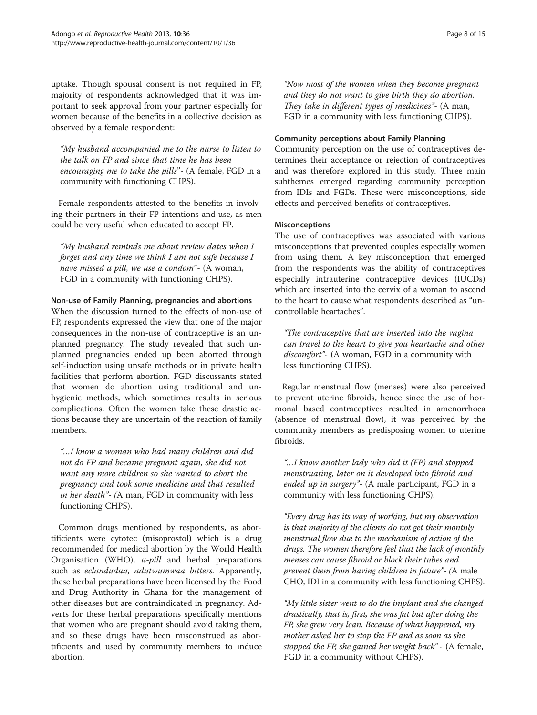uptake. Though spousal consent is not required in FP, majority of respondents acknowledged that it was important to seek approval from your partner especially for women because of the benefits in a collective decision as observed by a female respondent:

"My husband accompanied me to the nurse to listen to the talk on FP and since that time he has been encouraging me to take the pills"- (A female, FGD in a community with functioning CHPS).

Female respondents attested to the benefits in involving their partners in their FP intentions and use, as men could be very useful when educated to accept FP.

"My husband reminds me about review dates when I forget and any time we think I am not safe because I have missed a pill, we use a condom"- (A woman, FGD in a community with functioning CHPS).

## Non-use of Family Planning, pregnancies and abortions

When the discussion turned to the effects of non-use of FP, respondents expressed the view that one of the major consequences in the non-use of contraceptive is an unplanned pregnancy. The study revealed that such unplanned pregnancies ended up been aborted through self-induction using unsafe methods or in private health facilities that perform abortion. FGD discussants stated that women do abortion using traditional and unhygienic methods, which sometimes results in serious complications. Often the women take these drastic actions because they are uncertain of the reaction of family members.

"…I know a woman who had many children and did not do FP and became pregnant again, she did not want any more children so she wanted to abort the pregnancy and took some medicine and that resulted in her death"- (A man, FGD in community with less functioning CHPS).

Common drugs mentioned by respondents, as abortificients were cytotec (misoprostol) which is a drug recommended for medical abortion by the World Health Organisation (WHO),  $u$ -pill and herbal preparations such as *eclandudua*, *adutwumwaa bitters*. Apparently, these herbal preparations have been licensed by the Food and Drug Authority in Ghana for the management of other diseases but are contraindicated in pregnancy. Adverts for these herbal preparations specifically mentions that women who are pregnant should avoid taking them, and so these drugs have been misconstrued as abortificients and used by community members to induce abortion.

"Now most of the women when they become pregnant and they do not want to give birth they do abortion. They take in different types of medicines"- (A man, FGD in a community with less functioning CHPS).

#### Community perceptions about Family Planning

Community perception on the use of contraceptives determines their acceptance or rejection of contraceptives and was therefore explored in this study. Three main subthemes emerged regarding community perception from IDIs and FGDs. These were misconceptions, side effects and perceived benefits of contraceptives.

#### **Misconceptions**

The use of contraceptives was associated with various misconceptions that prevented couples especially women from using them. A key misconception that emerged from the respondents was the ability of contraceptives especially intrauterine contraceptive devices (IUCDs) which are inserted into the cervix of a woman to ascend to the heart to cause what respondents described as "uncontrollable heartaches".

"The contraceptive that are inserted into the vagina can travel to the heart to give you heartache and other discomfort"- (A woman, FGD in a community with less functioning CHPS).

Regular menstrual flow (menses) were also perceived to prevent uterine fibroids, hence since the use of hormonal based contraceptives resulted in amenorrhoea (absence of menstrual flow), it was perceived by the community members as predisposing women to uterine fibroids.

"…I know another lady who did it (FP) and stopped menstruating, later on it developed into fibroid and ended up in surgery"- (A male participant, FGD in a community with less functioning CHPS).

"Every drug has its way of working, but my observation is that majority of the clients do not get their monthly menstrual flow due to the mechanism of action of the drugs. The women therefore feel that the lack of monthly menses can cause fibroid or block their tubes and prevent them from having children in future"- (A male CHO, IDI in a community with less functioning CHPS).

"My little sister went to do the implant and she changed drastically, that is, first, she was fat but after doing the FP, she grew very lean. Because of what happened, my mother asked her to stop the FP and as soon as she stopped the FP, she gained her weight back" - (A female, FGD in a community without CHPS).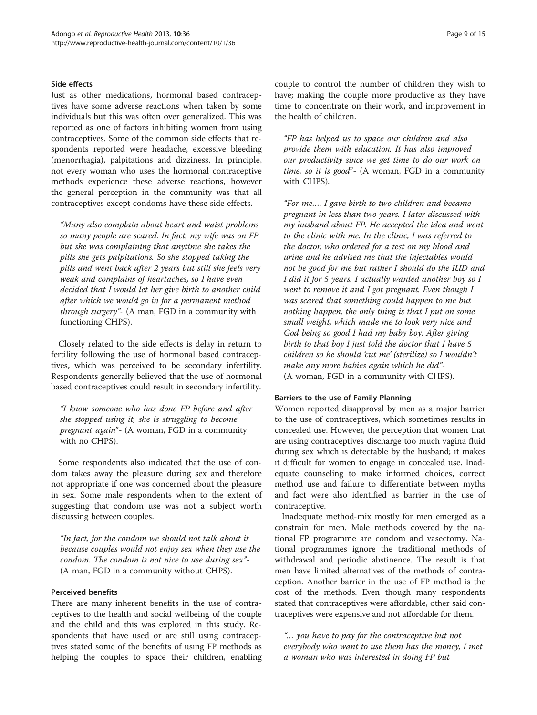#### Side effects

Just as other medications, hormonal based contraceptives have some adverse reactions when taken by some individuals but this was often over generalized. This was reported as one of factors inhibiting women from using contraceptives. Some of the common side effects that respondents reported were headache, excessive bleeding (menorrhagia), palpitations and dizziness. In principle, not every woman who uses the hormonal contraceptive methods experience these adverse reactions, however the general perception in the community was that all contraceptives except condoms have these side effects.

"Many also complain about heart and waist problems so many people are scared. In fact, my wife was on FP but she was complaining that anytime she takes the pills she gets palpitations. So she stopped taking the pills and went back after 2 years but still she feels very weak and complains of heartaches, so I have even decided that I would let her give birth to another child after which we would go in for a permanent method through surgery"- (A man, FGD in a community with functioning CHPS).

Closely related to the side effects is delay in return to fertility following the use of hormonal based contraceptives, which was perceived to be secondary infertility. Respondents generally believed that the use of hormonal based contraceptives could result in secondary infertility.

"I know someone who has done FP before and after she stopped using it, she is struggling to become pregnant again"- (A woman, FGD in a community with no CHPS).

Some respondents also indicated that the use of condom takes away the pleasure during sex and therefore not appropriate if one was concerned about the pleasure in sex. Some male respondents when to the extent of suggesting that condom use was not a subject worth discussing between couples.

"In fact, for the condom we should not talk about it because couples would not enjoy sex when they use the condom. The condom is not nice to use during sex"- (A man, FGD in a community without CHPS).

#### Perceived benefits

There are many inherent benefits in the use of contraceptives to the health and social wellbeing of the couple and the child and this was explored in this study. Respondents that have used or are still using contraceptives stated some of the benefits of using FP methods as helping the couples to space their children, enabling couple to control the number of children they wish to have; making the couple more productive as they have time to concentrate on their work, and improvement in the health of children.

"FP has helped us to space our children and also provide them with education. It has also improved our productivity since we get time to do our work on time, so it is good"-  $(A$  woman, FGD in a community with CHPS).

"For me…. I gave birth to two children and became pregnant in less than two years. I later discussed with my husband about FP. He accepted the idea and went to the clinic with me. In the clinic, I was referred to the doctor, who ordered for a test on my blood and urine and he advised me that the injectables would not be good for me but rather I should do the IUD and I did it for 5 years. I actually wanted another boy so I went to remove it and I got pregnant. Even though I was scared that something could happen to me but nothing happen, the only thing is that I put on some small weight, which made me to look very nice and God being so good I had my baby boy. After giving birth to that boy I just told the doctor that I have 5 children so he should 'cut me' (sterilize) so I wouldn't make any more babies again which he did"- (A woman, FGD in a community with CHPS).

#### Barriers to the use of Family Planning

Women reported disapproval by men as a major barrier to the use of contraceptives, which sometimes results in concealed use. However, the perception that women that are using contraceptives discharge too much vagina fluid during sex which is detectable by the husband; it makes it difficult for women to engage in concealed use. Inadequate counseling to make informed choices, correct method use and failure to differentiate between myths and fact were also identified as barrier in the use of contraceptive.

Inadequate method-mix mostly for men emerged as a constrain for men. Male methods covered by the national FP programme are condom and vasectomy. National programmes ignore the traditional methods of withdrawal and periodic abstinence. The result is that men have limited alternatives of the methods of contraception. Another barrier in the use of FP method is the cost of the methods. Even though many respondents stated that contraceptives were affordable, other said contraceptives were expensive and not affordable for them.

"… you have to pay for the contraceptive but not everybody who want to use them has the money, I met a woman who was interested in doing FP but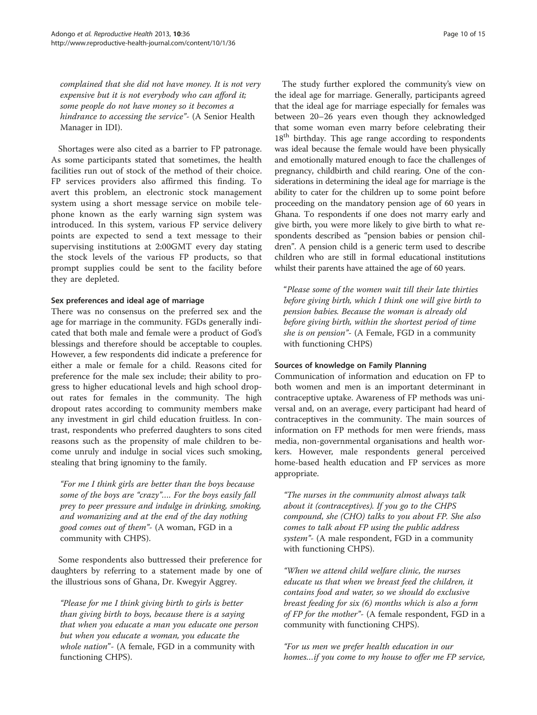complained that she did not have money. It is not very expensive but it is not everybody who can afford it; some people do not have money so it becomes a hindrance to accessing the service"- (A Senior Health Manager in IDI).

Shortages were also cited as a barrier to FP patronage. As some participants stated that sometimes, the health facilities run out of stock of the method of their choice. FP services providers also affirmed this finding. To avert this problem, an electronic stock management system using a short message service on mobile telephone known as the early warning sign system was introduced. In this system, various FP service delivery points are expected to send a text message to their supervising institutions at 2:00GMT every day stating the stock levels of the various FP products, so that prompt supplies could be sent to the facility before they are depleted.

#### Sex preferences and ideal age of marriage

There was no consensus on the preferred sex and the age for marriage in the community. FGDs generally indicated that both male and female were a product of God's blessings and therefore should be acceptable to couples. However, a few respondents did indicate a preference for either a male or female for a child. Reasons cited for preference for the male sex include; their ability to progress to higher educational levels and high school dropout rates for females in the community. The high dropout rates according to community members make any investment in girl child education fruitless. In contrast, respondents who preferred daughters to sons cited reasons such as the propensity of male children to become unruly and indulge in social vices such smoking, stealing that bring ignominy to the family.

"For me I think girls are better than the boys because some of the boys are "crazy"…. For the boys easily fall prey to peer pressure and indulge in drinking, smoking, and womanizing and at the end of the day nothing good comes out of them"- (A woman, FGD in a community with CHPS).

Some respondents also buttressed their preference for daughters by referring to a statement made by one of the illustrious sons of Ghana, Dr. Kwegyir Aggrey.

"Please for me I think giving birth to girls is better than giving birth to boys, because there is a saying that when you educate a man you educate one person but when you educate a woman, you educate the whole nation"- (A female, FGD in a community with functioning CHPS).

The study further explored the community's view on the ideal age for marriage. Generally, participants agreed that the ideal age for marriage especially for females was between 20–26 years even though they acknowledged that some woman even marry before celebrating their  $18<sup>th</sup>$  birthday. This age range according to respondents was ideal because the female would have been physically and emotionally matured enough to face the challenges of pregnancy, childbirth and child rearing. One of the considerations in determining the ideal age for marriage is the ability to cater for the children up to some point before proceeding on the mandatory pension age of 60 years in Ghana. To respondents if one does not marry early and give birth, you were more likely to give birth to what respondents described as "pension babies or pension children". A pension child is a generic term used to describe children who are still in formal educational institutions whilst their parents have attained the age of 60 years.

"Please some of the women wait till their late thirties before giving birth, which I think one will give birth to pension babies. Because the woman is already old before giving birth, within the shortest period of time she is on pension"- (A Female, FGD in a community with functioning CHPS)

## Sources of knowledge on Family Planning

Communication of information and education on FP to both women and men is an important determinant in contraceptive uptake. Awareness of FP methods was universal and, on an average, every participant had heard of contraceptives in the community. The main sources of information on FP methods for men were friends, mass media, non-governmental organisations and health workers. However, male respondents general perceived home-based health education and FP services as more appropriate.

"The nurses in the community almost always talk about it (contraceptives). If you go to the CHPS compound, she (CHO) talks to you about FP. She also comes to talk about FP using the public address system"- (A male respondent, FGD in a community with functioning CHPS).

"When we attend child welfare clinic, the nurses educate us that when we breast feed the children, it contains food and water, so we should do exclusive breast feeding for six (6) months which is also a form of FP for the mother" (A female respondent, FGD in a community with functioning CHPS).

"For us men we prefer health education in our homes...if you come to my house to offer me FP service,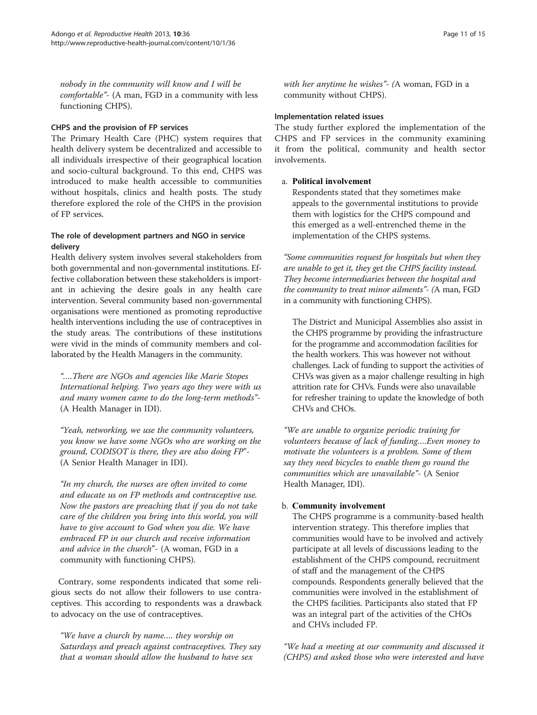nobody in the community will know and I will be comfortable"- (A man, FGD in a community with less functioning CHPS).

#### CHPS and the provision of FP services

The Primary Health Care (PHC) system requires that health delivery system be decentralized and accessible to all individuals irrespective of their geographical location and socio-cultural background. To this end, CHPS was introduced to make health accessible to communities without hospitals, clinics and health posts. The study therefore explored the role of the CHPS in the provision of FP services.

## The role of development partners and NGO in service delivery

Health delivery system involves several stakeholders from both governmental and non-governmental institutions. Effective collaboration between these stakeholders is important in achieving the desire goals in any health care intervention. Several community based non-governmental organisations were mentioned as promoting reproductive health interventions including the use of contraceptives in the study areas. The contributions of these institutions were vivid in the minds of community members and collaborated by the Health Managers in the community.

"….There are NGOs and agencies like Marie Stopes International helping. Two years ago they were with us and many women came to do the long-term methods"- (A Health Manager in IDI).

"Yeah, networking, we use the community volunteers, you know we have some NGOs who are working on the ground, CODISOT is there, they are also doing FP"- (A Senior Health Manager in IDI).

"In my church, the nurses are often invited to come and educate us on FP methods and contraceptive use. Now the pastors are preaching that if you do not take care of the children you bring into this world, you will have to give account to God when you die. We have embraced FP in our church and receive information and advice in the church"- (A woman, FGD in a community with functioning CHPS).

Contrary, some respondents indicated that some religious sects do not allow their followers to use contraceptives. This according to respondents was a drawback to advocacy on the use of contraceptives.

"We have a church by name…. they worship on Saturdays and preach against contraceptives. They say that a woman should allow the husband to have sex

with her anytime he wishes"- (A woman, FGD in a community without CHPS).

## Implementation related issues

The study further explored the implementation of the CHPS and FP services in the community examining it from the political, community and health sector involvements.

## a. Political involvement

Respondents stated that they sometimes make appeals to the governmental institutions to provide them with logistics for the CHPS compound and this emerged as a well-entrenched theme in the implementation of the CHPS systems.

"Some communities request for hospitals but when they are unable to get it, they get the CHPS facility instead. They become intermediaries between the hospital and the community to treat minor ailments"- (A man, FGD in a community with functioning CHPS).

The District and Municipal Assemblies also assist in the CHPS programme by providing the infrastructure for the programme and accommodation facilities for the health workers. This was however not without challenges. Lack of funding to support the activities of CHVs was given as a major challenge resulting in high attrition rate for CHVs. Funds were also unavailable for refresher training to update the knowledge of both CHVs and CHOs.

"We are unable to organize periodic training for volunteers because of lack of funding….Even money to motivate the volunteers is a problem. Some of them say they need bicycles to enable them go round the communities which are unavailable"- (A Senior Health Manager, IDI).

## b. Community involvement

The CHPS programme is a community-based health intervention strategy. This therefore implies that communities would have to be involved and actively participate at all levels of discussions leading to the establishment of the CHPS compound, recruitment of staff and the management of the CHPS compounds. Respondents generally believed that the communities were involved in the establishment of the CHPS facilities. Participants also stated that FP was an integral part of the activities of the CHOs and CHVs included FP.

"We had a meeting at our community and discussed it (CHPS) and asked those who were interested and have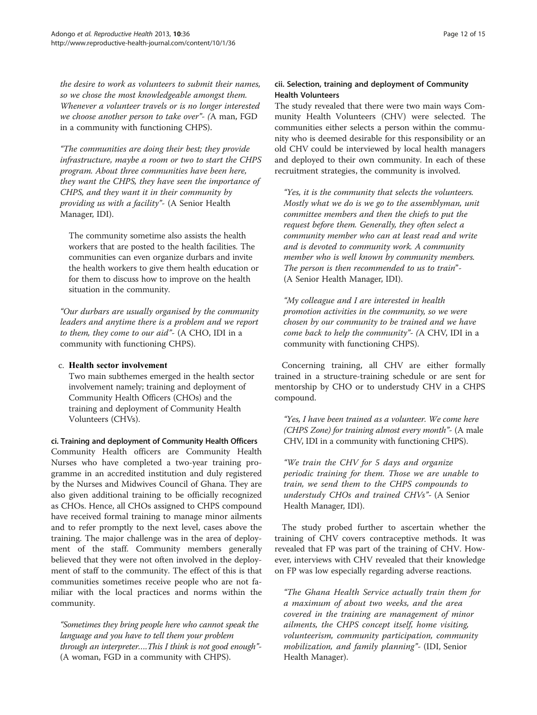the desire to work as volunteers to submit their names, so we chose the most knowledgeable amongst them. Whenever a volunteer travels or is no longer interested we choose another person to take over"- (A man, FGD in a community with functioning CHPS).

"The communities are doing their best; they provide infrastructure, maybe a room or two to start the CHPS program. About three communities have been here, they want the CHPS, they have seen the importance of CHPS, and they want it in their community by providing us with a facility"- (A Senior Health Manager, IDI).

The community sometime also assists the health workers that are posted to the health facilities. The communities can even organize durbars and invite the health workers to give them health education or for them to discuss how to improve on the health situation in the community.

"Our durbars are usually organised by the community leaders and anytime there is a problem and we report to them, they come to our aid"- (A CHO, IDI in a community with functioning CHPS).

#### c. Health sector involvement

Two main subthemes emerged in the health sector involvement namely; training and deployment of Community Health Officers (CHOs) and the training and deployment of Community Health Volunteers (CHVs).

#### ci. Training and deployment of Community Health Officers

Community Health officers are Community Health Nurses who have completed a two-year training programme in an accredited institution and duly registered by the Nurses and Midwives Council of Ghana. They are also given additional training to be officially recognized as CHOs. Hence, all CHOs assigned to CHPS compound have received formal training to manage minor ailments and to refer promptly to the next level, cases above the training. The major challenge was in the area of deployment of the staff. Community members generally believed that they were not often involved in the deployment of staff to the community. The effect of this is that communities sometimes receive people who are not familiar with the local practices and norms within the community.

"Sometimes they bring people here who cannot speak the language and you have to tell them your problem through an interpreter….This I think is not good enough"- (A woman, FGD in a community with CHPS).

## cii. Selection, training and deployment of Community Health Volunteers

The study revealed that there were two main ways Community Health Volunteers (CHV) were selected. The communities either selects a person within the community who is deemed desirable for this responsibility or an old CHV could be interviewed by local health managers and deployed to their own community. In each of these recruitment strategies, the community is involved.

"Yes, it is the community that selects the volunteers. Mostly what we do is we go to the assemblyman, unit committee members and then the chiefs to put the request before them. Generally, they often select a community member who can at least read and write and is devoted to community work. A community member who is well known by community members. The person is then recommended to us to train"- (A Senior Health Manager, IDI).

"My colleague and I are interested in health promotion activities in the community, so we were chosen by our community to be trained and we have come back to help the community"- (A CHV, IDI in a community with functioning CHPS).

Concerning training, all CHV are either formally trained in a structure-training schedule or are sent for mentorship by CHO or to understudy CHV in a CHPS compound.

"Yes, I have been trained as a volunteer. We come here (CHPS Zone) for training almost every month"- (A male CHV, IDI in a community with functioning CHPS).

"We train the CHV for 5 days and organize periodic training for them. Those we are unable to train, we send them to the CHPS compounds to understudy CHOs and trained CHVs"- (A Senior Health Manager, IDI).

The study probed further to ascertain whether the training of CHV covers contraceptive methods. It was revealed that FP was part of the training of CHV. However, interviews with CHV revealed that their knowledge on FP was low especially regarding adverse reactions.

"The Ghana Health Service actually train them for a maximum of about two weeks, and the area covered in the training are management of minor ailments, the CHPS concept itself, home visiting, volunteerism, community participation, community mobilization, and family planning"- (IDI, Senior Health Manager).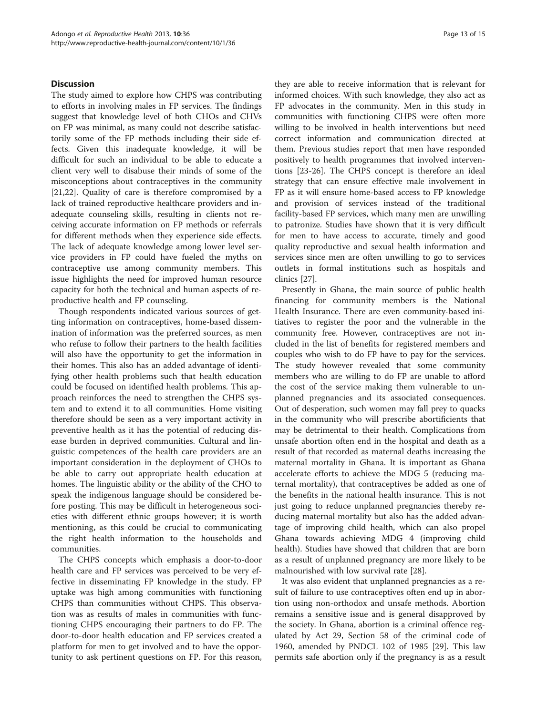#### Discussion

The study aimed to explore how CHPS was contributing to efforts in involving males in FP services. The findings suggest that knowledge level of both CHOs and CHVs on FP was minimal, as many could not describe satisfactorily some of the FP methods including their side effects. Given this inadequate knowledge, it will be difficult for such an individual to be able to educate a client very well to disabuse their minds of some of the misconceptions about contraceptives in the community [[21,22\]](#page-14-0). Quality of care is therefore compromised by a lack of trained reproductive healthcare providers and inadequate counseling skills, resulting in clients not receiving accurate information on FP methods or referrals for different methods when they experience side effects. The lack of adequate knowledge among lower level service providers in FP could have fueled the myths on contraceptive use among community members. This issue highlights the need for improved human resource capacity for both the technical and human aspects of reproductive health and FP counseling.

Though respondents indicated various sources of getting information on contraceptives, home-based dissemination of information was the preferred sources, as men who refuse to follow their partners to the health facilities will also have the opportunity to get the information in their homes. This also has an added advantage of identifying other health problems such that health education could be focused on identified health problems. This approach reinforces the need to strengthen the CHPS system and to extend it to all communities. Home visiting therefore should be seen as a very important activity in preventive health as it has the potential of reducing disease burden in deprived communities. Cultural and linguistic competences of the health care providers are an important consideration in the deployment of CHOs to be able to carry out appropriate health education at homes. The linguistic ability or the ability of the CHO to speak the indigenous language should be considered before posting. This may be difficult in heterogeneous societies with different ethnic groups however; it is worth mentioning, as this could be crucial to communicating the right health information to the households and communities.

The CHPS concepts which emphasis a door-to-door health care and FP services was perceived to be very effective in disseminating FP knowledge in the study. FP uptake was high among communities with functioning CHPS than communities without CHPS. This observation was as results of males in communities with functioning CHPS encouraging their partners to do FP. The door-to-door health education and FP services created a platform for men to get involved and to have the opportunity to ask pertinent questions on FP. For this reason,

they are able to receive information that is relevant for informed choices. With such knowledge, they also act as FP advocates in the community. Men in this study in communities with functioning CHPS were often more willing to be involved in health interventions but need correct information and communication directed at them. Previous studies report that men have responded positively to health programmes that involved interventions [[23](#page-14-0)-[26\]](#page-14-0). The CHPS concept is therefore an ideal strategy that can ensure effective male involvement in FP as it will ensure home-based access to FP knowledge and provision of services instead of the traditional facility-based FP services, which many men are unwilling to patronize. Studies have shown that it is very difficult for men to have access to accurate, timely and good quality reproductive and sexual health information and services since men are often unwilling to go to services outlets in formal institutions such as hospitals and clinics [[27](#page-14-0)].

Presently in Ghana, the main source of public health financing for community members is the National Health Insurance. There are even community-based initiatives to register the poor and the vulnerable in the community free. However, contraceptives are not included in the list of benefits for registered members and couples who wish to do FP have to pay for the services. The study however revealed that some community members who are willing to do FP are unable to afford the cost of the service making them vulnerable to unplanned pregnancies and its associated consequences. Out of desperation, such women may fall prey to quacks in the community who will prescribe abortificients that may be detrimental to their health. Complications from unsafe abortion often end in the hospital and death as a result of that recorded as maternal deaths increasing the maternal mortality in Ghana. It is important as Ghana accelerate efforts to achieve the MDG 5 (reducing maternal mortality), that contraceptives be added as one of the benefits in the national health insurance. This is not just going to reduce unplanned pregnancies thereby reducing maternal mortality but also has the added advantage of improving child health, which can also propel Ghana towards achieving MDG 4 (improving child health). Studies have showed that children that are born as a result of unplanned pregnancy are more likely to be malnourished with low survival rate [\[28\]](#page-14-0).

It was also evident that unplanned pregnancies as a result of failure to use contraceptives often end up in abortion using non-orthodox and unsafe methods. Abortion remains a sensitive issue and is general disapproved by the society. In Ghana, abortion is a criminal offence regulated by Act 29, Section 58 of the criminal code of 1960, amended by PNDCL 102 of 1985 [[29](#page-14-0)]. This law permits safe abortion only if the pregnancy is as a result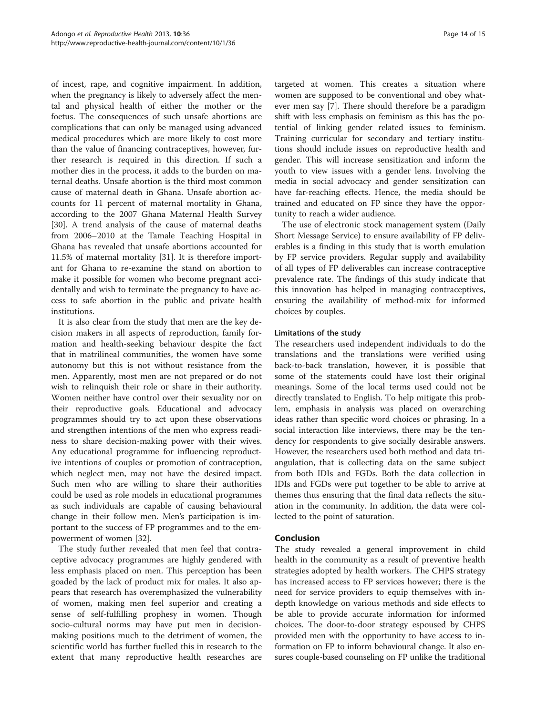of incest, rape, and cognitive impairment. In addition, when the pregnancy is likely to adversely affect the mental and physical health of either the mother or the foetus. The consequences of such unsafe abortions are complications that can only be managed using advanced medical procedures which are more likely to cost more than the value of financing contraceptives, however, further research is required in this direction. If such a mother dies in the process, it adds to the burden on maternal deaths. Unsafe abortion is the third most common cause of maternal death in Ghana. Unsafe abortion accounts for 11 percent of maternal mortality in Ghana, according to the 2007 Ghana Maternal Health Survey [[30\]](#page-14-0). A trend analysis of the cause of maternal deaths from 2006–2010 at the Tamale Teaching Hospital in Ghana has revealed that unsafe abortions accounted for 11.5% of maternal mortality [[31](#page-14-0)]. It is therefore important for Ghana to re-examine the stand on abortion to make it possible for women who become pregnant accidentally and wish to terminate the pregnancy to have access to safe abortion in the public and private health institutions.

It is also clear from the study that men are the key decision makers in all aspects of reproduction, family formation and health-seeking behaviour despite the fact that in matrilineal communities, the women have some autonomy but this is not without resistance from the men. Apparently, most men are not prepared or do not wish to relinquish their role or share in their authority. Women neither have control over their sexuality nor on their reproductive goals. Educational and advocacy programmes should try to act upon these observations and strengthen intentions of the men who express readiness to share decision-making power with their wives. Any educational programme for influencing reproductive intentions of couples or promotion of contraception, which neglect men, may not have the desired impact. Such men who are willing to share their authorities could be used as role models in educational programmes as such individuals are capable of causing behavioural change in their follow men. Men's participation is important to the success of FP programmes and to the empowerment of women [\[32\]](#page-14-0).

The study further revealed that men feel that contraceptive advocacy programmes are highly gendered with less emphasis placed on men. This perception has been goaded by the lack of product mix for males. It also appears that research has overemphasized the vulnerability of women, making men feel superior and creating a sense of self-fulfilling prophesy in women. Though socio-cultural norms may have put men in decisionmaking positions much to the detriment of women, the scientific world has further fuelled this in research to the extent that many reproductive health researches are

targeted at women. This creates a situation where women are supposed to be conventional and obey whatever men say [\[7](#page-14-0)]. There should therefore be a paradigm shift with less emphasis on feminism as this has the potential of linking gender related issues to feminism. Training curricular for secondary and tertiary institutions should include issues on reproductive health and gender. This will increase sensitization and inform the youth to view issues with a gender lens. Involving the media in social advocacy and gender sensitization can have far-reaching effects. Hence, the media should be trained and educated on FP since they have the opportunity to reach a wider audience.

The use of electronic stock management system (Daily Short Message Service) to ensure availability of FP deliverables is a finding in this study that is worth emulation by FP service providers. Regular supply and availability of all types of FP deliverables can increase contraceptive prevalence rate. The findings of this study indicate that this innovation has helped in managing contraceptives, ensuring the availability of method-mix for informed choices by couples.

#### Limitations of the study

The researchers used independent individuals to do the translations and the translations were verified using back-to-back translation, however, it is possible that some of the statements could have lost their original meanings. Some of the local terms used could not be directly translated to English. To help mitigate this problem, emphasis in analysis was placed on overarching ideas rather than specific word choices or phrasing. In a social interaction like interviews, there may be the tendency for respondents to give socially desirable answers. However, the researchers used both method and data triangulation, that is collecting data on the same subject from both IDIs and FGDs. Both the data collection in IDIs and FGDs were put together to be able to arrive at themes thus ensuring that the final data reflects the situation in the community. In addition, the data were collected to the point of saturation.

## Conclusion

The study revealed a general improvement in child health in the community as a result of preventive health strategies adopted by health workers. The CHPS strategy has increased access to FP services however; there is the need for service providers to equip themselves with indepth knowledge on various methods and side effects to be able to provide accurate information for informed choices. The door-to-door strategy espoused by CHPS provided men with the opportunity to have access to information on FP to inform behavioural change. It also ensures couple-based counseling on FP unlike the traditional